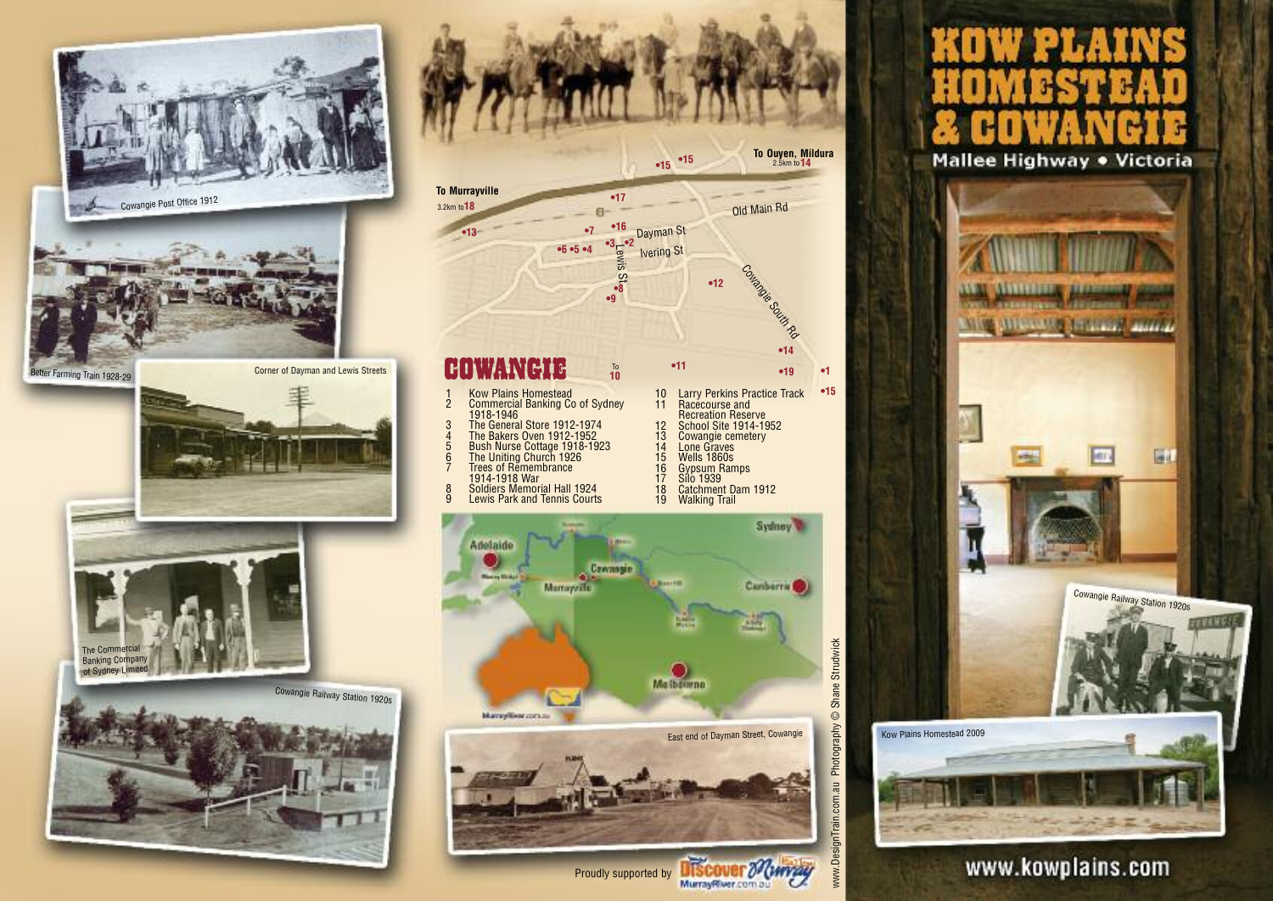



# Mallee Highway . Victoria



# www.kowplains.com